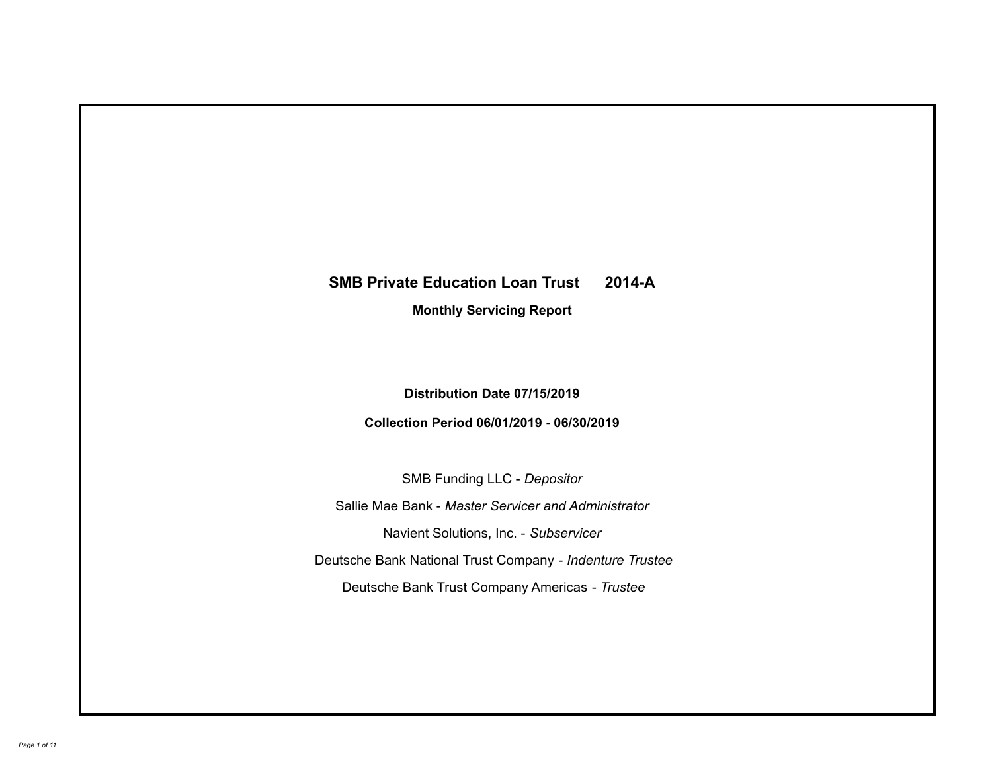# **SMB Private Education Loan Trust 2014-A Monthly Servicing Report**

# **Distribution Date 07/15/2019**

# **Collection Period 06/01/2019 - 06/30/2019**

SMB Funding LLC - *Depositor*

Sallie Mae Bank - *Master Servicer and Administrator*

Navient Solutions, Inc. - *Subservicer*

Deutsche Bank National Trust Company - *Indenture Trustee*

Deutsche Bank Trust Company Americas - *Trustee*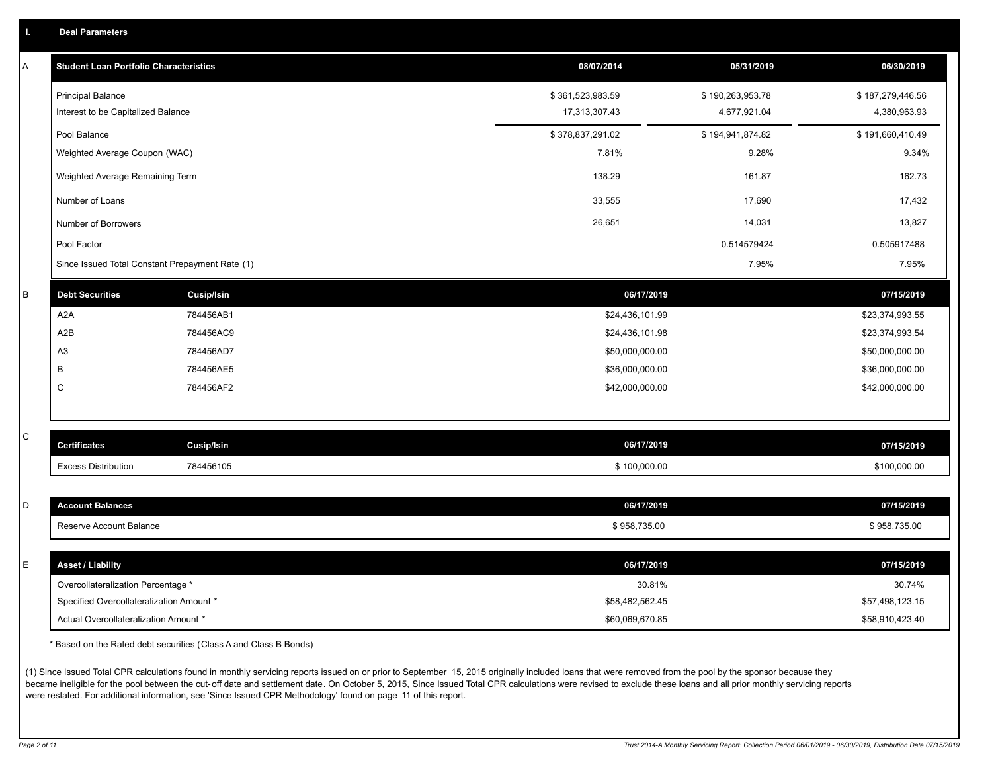|  |  |  | <b>Deal Parameters</b> |  |
|--|--|--|------------------------|--|
|--|--|--|------------------------|--|

| Α | <b>Student Loan Portfolio Characteristics</b>   |                   | 08/07/2014       | 05/31/2019       | 06/30/2019       |
|---|-------------------------------------------------|-------------------|------------------|------------------|------------------|
|   | <b>Principal Balance</b>                        |                   | \$361,523,983.59 | \$190,263,953.78 | \$187,279,446.56 |
|   | Interest to be Capitalized Balance              |                   | 17,313,307.43    | 4,677,921.04     | 4,380,963.93     |
|   | Pool Balance                                    |                   | \$378,837,291.02 | \$194,941,874.82 | \$191,660,410.49 |
|   | Weighted Average Coupon (WAC)                   |                   | 7.81%            | 9.28%            | 9.34%            |
|   | Weighted Average Remaining Term                 |                   | 138.29           | 161.87           | 162.73           |
|   | Number of Loans                                 |                   | 33,555           | 17,690           | 17,432           |
|   | Number of Borrowers                             |                   | 26,651           | 14,031           | 13,827           |
|   | Pool Factor                                     |                   |                  | 0.514579424      | 0.505917488      |
|   | Since Issued Total Constant Prepayment Rate (1) |                   |                  | 7.95%            | 7.95%            |
| B | <b>Debt Securities</b>                          | <b>Cusip/Isin</b> | 06/17/2019       |                  | 07/15/2019       |
|   | A <sub>2</sub> A                                | 784456AB1         | \$24,436,101.99  |                  | \$23,374,993.55  |
|   | A <sub>2</sub> B                                | 784456AC9         | \$24,436,101.98  |                  | \$23,374,993.54  |
|   | A <sub>3</sub>                                  | 784456AD7         | \$50,000,000.00  |                  | \$50,000,000.00  |
|   | B                                               | 784456AE5         | \$36,000,000.00  |                  | \$36,000,000.00  |
|   | C                                               | 784456AF2         | \$42,000,000.00  |                  | \$42,000,000.00  |
|   |                                                 |                   |                  |                  |                  |
| C | <b>Certificates</b>                             | Cusip/Isin        | 06/17/2019       |                  | 07/15/2019       |
|   | <b>Excess Distribution</b>                      | 784456105         | \$100,000.00     |                  | \$100,000.00     |
|   |                                                 |                   |                  |                  |                  |
| D | <b>Account Balances</b>                         |                   | 06/17/2019       |                  | 07/15/2019       |
|   | Reserve Account Balance                         |                   | \$958,735.00     |                  | \$958,735.00     |
|   |                                                 |                   |                  |                  |                  |
| E | <b>Asset / Liability</b>                        |                   | 06/17/2019       |                  | 07/15/2019       |
|   | Overcollateralization Percentage *              |                   | 30.81%           |                  | 30.74%           |
|   | Specified Overcollateralization Amount *        |                   | \$58,482,562.45  |                  | \$57,498,123.15  |
|   | Actual Overcollateralization Amount *           |                   | \$60,069,670.85  |                  | \$58,910,423.40  |

\* Based on the Rated debt securities (Class A and Class B Bonds)

(1) Since Issued Total CPR calculations found in monthly servicing reports issued on or prior to September 15, 2015 originally included loans that were removed from the pool by the sponsor because they became ineligible for the pool between the cut-off date and settlement date. On October 5, 2015, Since Issued Total CPR calculations were revised to exclude these loans and all prior monthly servicing reports were restated. For additional information, see 'Since Issued CPR Methodology' found on page 11 of this report.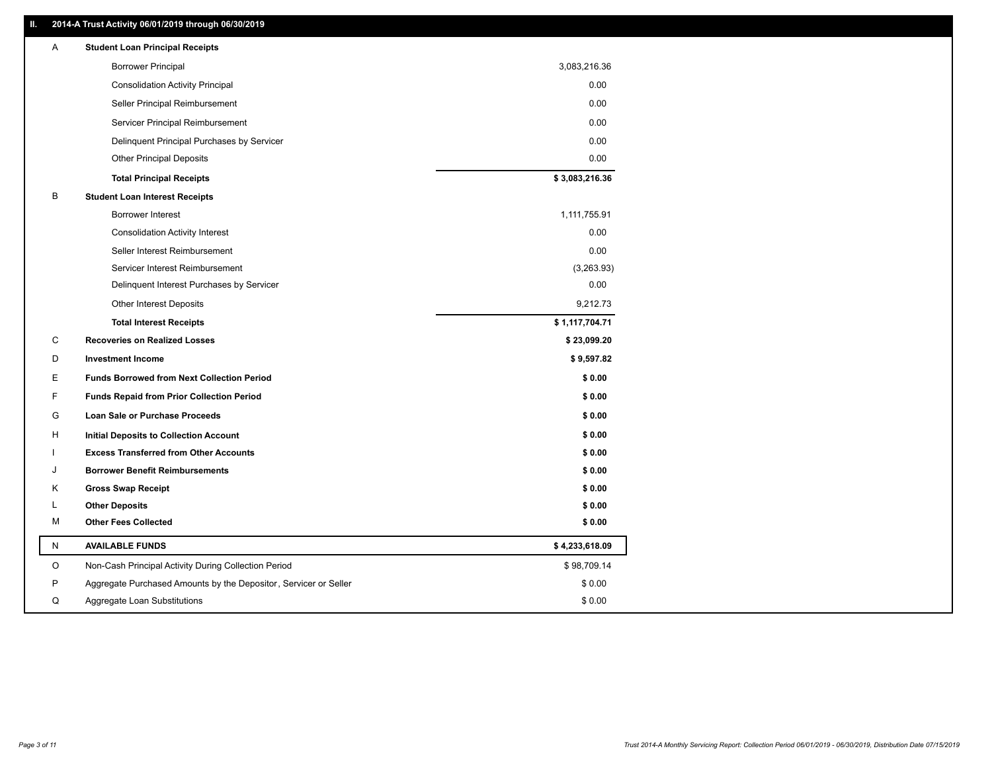#### **II. 2014-A Trust Activity 06/01/2019 through 06/30/2019**

| <b>Borrower Principal</b><br>3,083,216.36<br>0.00<br><b>Consolidation Activity Principal</b><br>0.00<br>Seller Principal Reimbursement<br>0.00<br>Servicer Principal Reimbursement<br>Delinquent Principal Purchases by Servicer<br>0.00<br><b>Other Principal Deposits</b><br>0.00<br>\$3,083,216.36<br><b>Total Principal Receipts</b><br>B<br><b>Student Loan Interest Receipts</b><br>Borrower Interest<br>1,111,755.91<br>0.00<br><b>Consolidation Activity Interest</b><br>0.00<br>Seller Interest Reimbursement<br>(3,263.93)<br>Servicer Interest Reimbursement<br>0.00<br>Delinquent Interest Purchases by Servicer<br>9,212.73<br><b>Other Interest Deposits</b><br>\$1,117,704.71<br><b>Total Interest Receipts</b><br>С<br><b>Recoveries on Realized Losses</b><br>\$23,099.20<br>D<br><b>Investment Income</b><br>\$9,597.82<br>E<br><b>Funds Borrowed from Next Collection Period</b><br>\$0.00<br>F<br>\$0.00<br><b>Funds Repaid from Prior Collection Period</b><br>\$0.00<br>G<br>Loan Sale or Purchase Proceeds<br>н<br>\$0.00<br>Initial Deposits to Collection Account<br>\$0.00<br><b>Excess Transferred from Other Accounts</b><br>\$0.00<br><b>Borrower Benefit Reimbursements</b><br>J<br><b>Gross Swap Receipt</b><br>\$0.00<br>K<br><b>Other Deposits</b><br>\$0.00<br>L<br><b>Other Fees Collected</b><br>М<br>\$0.00<br>\$4,233,618.09<br>N<br><b>AVAILABLE FUNDS</b><br>O<br>Non-Cash Principal Activity During Collection Period<br>\$98,709.14<br>P<br>Aggregate Purchased Amounts by the Depositor, Servicer or Seller<br>\$0.00 | A | <b>Student Loan Principal Receipts</b> |  |
|------------------------------------------------------------------------------------------------------------------------------------------------------------------------------------------------------------------------------------------------------------------------------------------------------------------------------------------------------------------------------------------------------------------------------------------------------------------------------------------------------------------------------------------------------------------------------------------------------------------------------------------------------------------------------------------------------------------------------------------------------------------------------------------------------------------------------------------------------------------------------------------------------------------------------------------------------------------------------------------------------------------------------------------------------------------------------------------------------------------------------------------------------------------------------------------------------------------------------------------------------------------------------------------------------------------------------------------------------------------------------------------------------------------------------------------------------------------------------------------------------------------------------------------------------------------|---|----------------------------------------|--|
|                                                                                                                                                                                                                                                                                                                                                                                                                                                                                                                                                                                                                                                                                                                                                                                                                                                                                                                                                                                                                                                                                                                                                                                                                                                                                                                                                                                                                                                                                                                                                                  |   |                                        |  |
|                                                                                                                                                                                                                                                                                                                                                                                                                                                                                                                                                                                                                                                                                                                                                                                                                                                                                                                                                                                                                                                                                                                                                                                                                                                                                                                                                                                                                                                                                                                                                                  |   |                                        |  |
|                                                                                                                                                                                                                                                                                                                                                                                                                                                                                                                                                                                                                                                                                                                                                                                                                                                                                                                                                                                                                                                                                                                                                                                                                                                                                                                                                                                                                                                                                                                                                                  |   |                                        |  |
|                                                                                                                                                                                                                                                                                                                                                                                                                                                                                                                                                                                                                                                                                                                                                                                                                                                                                                                                                                                                                                                                                                                                                                                                                                                                                                                                                                                                                                                                                                                                                                  |   |                                        |  |
|                                                                                                                                                                                                                                                                                                                                                                                                                                                                                                                                                                                                                                                                                                                                                                                                                                                                                                                                                                                                                                                                                                                                                                                                                                                                                                                                                                                                                                                                                                                                                                  |   |                                        |  |
|                                                                                                                                                                                                                                                                                                                                                                                                                                                                                                                                                                                                                                                                                                                                                                                                                                                                                                                                                                                                                                                                                                                                                                                                                                                                                                                                                                                                                                                                                                                                                                  |   |                                        |  |
|                                                                                                                                                                                                                                                                                                                                                                                                                                                                                                                                                                                                                                                                                                                                                                                                                                                                                                                                                                                                                                                                                                                                                                                                                                                                                                                                                                                                                                                                                                                                                                  |   |                                        |  |
|                                                                                                                                                                                                                                                                                                                                                                                                                                                                                                                                                                                                                                                                                                                                                                                                                                                                                                                                                                                                                                                                                                                                                                                                                                                                                                                                                                                                                                                                                                                                                                  |   |                                        |  |
|                                                                                                                                                                                                                                                                                                                                                                                                                                                                                                                                                                                                                                                                                                                                                                                                                                                                                                                                                                                                                                                                                                                                                                                                                                                                                                                                                                                                                                                                                                                                                                  |   |                                        |  |
|                                                                                                                                                                                                                                                                                                                                                                                                                                                                                                                                                                                                                                                                                                                                                                                                                                                                                                                                                                                                                                                                                                                                                                                                                                                                                                                                                                                                                                                                                                                                                                  |   |                                        |  |
|                                                                                                                                                                                                                                                                                                                                                                                                                                                                                                                                                                                                                                                                                                                                                                                                                                                                                                                                                                                                                                                                                                                                                                                                                                                                                                                                                                                                                                                                                                                                                                  |   |                                        |  |
|                                                                                                                                                                                                                                                                                                                                                                                                                                                                                                                                                                                                                                                                                                                                                                                                                                                                                                                                                                                                                                                                                                                                                                                                                                                                                                                                                                                                                                                                                                                                                                  |   |                                        |  |
|                                                                                                                                                                                                                                                                                                                                                                                                                                                                                                                                                                                                                                                                                                                                                                                                                                                                                                                                                                                                                                                                                                                                                                                                                                                                                                                                                                                                                                                                                                                                                                  |   |                                        |  |
|                                                                                                                                                                                                                                                                                                                                                                                                                                                                                                                                                                                                                                                                                                                                                                                                                                                                                                                                                                                                                                                                                                                                                                                                                                                                                                                                                                                                                                                                                                                                                                  |   |                                        |  |
|                                                                                                                                                                                                                                                                                                                                                                                                                                                                                                                                                                                                                                                                                                                                                                                                                                                                                                                                                                                                                                                                                                                                                                                                                                                                                                                                                                                                                                                                                                                                                                  |   |                                        |  |
|                                                                                                                                                                                                                                                                                                                                                                                                                                                                                                                                                                                                                                                                                                                                                                                                                                                                                                                                                                                                                                                                                                                                                                                                                                                                                                                                                                                                                                                                                                                                                                  |   |                                        |  |
|                                                                                                                                                                                                                                                                                                                                                                                                                                                                                                                                                                                                                                                                                                                                                                                                                                                                                                                                                                                                                                                                                                                                                                                                                                                                                                                                                                                                                                                                                                                                                                  |   |                                        |  |
|                                                                                                                                                                                                                                                                                                                                                                                                                                                                                                                                                                                                                                                                                                                                                                                                                                                                                                                                                                                                                                                                                                                                                                                                                                                                                                                                                                                                                                                                                                                                                                  |   |                                        |  |
|                                                                                                                                                                                                                                                                                                                                                                                                                                                                                                                                                                                                                                                                                                                                                                                                                                                                                                                                                                                                                                                                                                                                                                                                                                                                                                                                                                                                                                                                                                                                                                  |   |                                        |  |
|                                                                                                                                                                                                                                                                                                                                                                                                                                                                                                                                                                                                                                                                                                                                                                                                                                                                                                                                                                                                                                                                                                                                                                                                                                                                                                                                                                                                                                                                                                                                                                  |   |                                        |  |
|                                                                                                                                                                                                                                                                                                                                                                                                                                                                                                                                                                                                                                                                                                                                                                                                                                                                                                                                                                                                                                                                                                                                                                                                                                                                                                                                                                                                                                                                                                                                                                  |   |                                        |  |
|                                                                                                                                                                                                                                                                                                                                                                                                                                                                                                                                                                                                                                                                                                                                                                                                                                                                                                                                                                                                                                                                                                                                                                                                                                                                                                                                                                                                                                                                                                                                                                  |   |                                        |  |
|                                                                                                                                                                                                                                                                                                                                                                                                                                                                                                                                                                                                                                                                                                                                                                                                                                                                                                                                                                                                                                                                                                                                                                                                                                                                                                                                                                                                                                                                                                                                                                  |   |                                        |  |
|                                                                                                                                                                                                                                                                                                                                                                                                                                                                                                                                                                                                                                                                                                                                                                                                                                                                                                                                                                                                                                                                                                                                                                                                                                                                                                                                                                                                                                                                                                                                                                  |   |                                        |  |
|                                                                                                                                                                                                                                                                                                                                                                                                                                                                                                                                                                                                                                                                                                                                                                                                                                                                                                                                                                                                                                                                                                                                                                                                                                                                                                                                                                                                                                                                                                                                                                  |   |                                        |  |
|                                                                                                                                                                                                                                                                                                                                                                                                                                                                                                                                                                                                                                                                                                                                                                                                                                                                                                                                                                                                                                                                                                                                                                                                                                                                                                                                                                                                                                                                                                                                                                  |   |                                        |  |
|                                                                                                                                                                                                                                                                                                                                                                                                                                                                                                                                                                                                                                                                                                                                                                                                                                                                                                                                                                                                                                                                                                                                                                                                                                                                                                                                                                                                                                                                                                                                                                  |   |                                        |  |
|                                                                                                                                                                                                                                                                                                                                                                                                                                                                                                                                                                                                                                                                                                                                                                                                                                                                                                                                                                                                                                                                                                                                                                                                                                                                                                                                                                                                                                                                                                                                                                  |   |                                        |  |
|                                                                                                                                                                                                                                                                                                                                                                                                                                                                                                                                                                                                                                                                                                                                                                                                                                                                                                                                                                                                                                                                                                                                                                                                                                                                                                                                                                                                                                                                                                                                                                  |   |                                        |  |
| Q<br>Aggregate Loan Substitutions<br>\$0.00                                                                                                                                                                                                                                                                                                                                                                                                                                                                                                                                                                                                                                                                                                                                                                                                                                                                                                                                                                                                                                                                                                                                                                                                                                                                                                                                                                                                                                                                                                                      |   |                                        |  |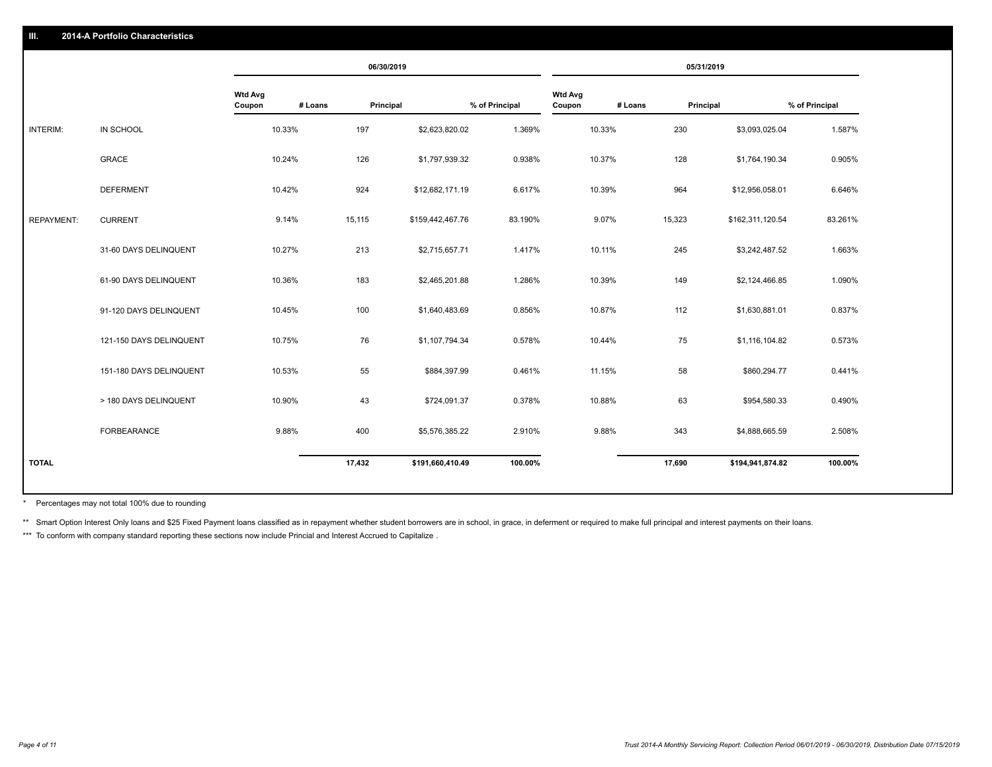|                   |                         |                   |         | 06/30/2019 |                  |                |                          |         | 05/31/2019 |                  |                |
|-------------------|-------------------------|-------------------|---------|------------|------------------|----------------|--------------------------|---------|------------|------------------|----------------|
|                   |                         | Wtd Avg<br>Coupon | # Loans | Principal  |                  | % of Principal | <b>Wtd Avg</b><br>Coupon | # Loans | Principal  |                  | % of Principal |
| INTERIM:          | IN SCHOOL               |                   | 10.33%  | 197        | \$2,623,820.02   | 1.369%         |                          | 10.33%  | 230        | \$3,093,025.04   | 1.587%         |
|                   | <b>GRACE</b>            |                   | 10.24%  | 126        | \$1,797,939.32   | 0.938%         |                          | 10.37%  | 128        | \$1,764,190.34   | 0.905%         |
|                   | <b>DEFERMENT</b>        |                   | 10.42%  | 924        | \$12,682,171.19  | 6.617%         |                          | 10.39%  | 964        | \$12,956,058.01  | 6.646%         |
| <b>REPAYMENT:</b> | <b>CURRENT</b>          |                   | 9.14%   | 15,115     | \$159,442,467.76 | 83.190%        |                          | 9.07%   | 15,323     | \$162,311,120.54 | 83.261%        |
|                   | 31-60 DAYS DELINQUENT   |                   | 10.27%  | 213        | \$2,715,657.71   | 1.417%         |                          | 10.11%  | 245        | \$3,242,487.52   | 1.663%         |
|                   | 61-90 DAYS DELINQUENT   |                   | 10.36%  | 183        | \$2,465,201.88   | 1.286%         |                          | 10.39%  | 149        | \$2,124,466.85   | 1.090%         |
|                   | 91-120 DAYS DELINQUENT  |                   | 10.45%  | 100        | \$1,640,483.69   | 0.856%         |                          | 10.87%  | 112        | \$1,630,881.01   | 0.837%         |
|                   | 121-150 DAYS DELINQUENT |                   | 10.75%  | 76         | \$1,107,794.34   | 0.578%         |                          | 10.44%  | 75         | \$1,116,104.82   | 0.573%         |
|                   | 151-180 DAYS DELINQUENT |                   | 10.53%  | 55         | \$884,397.99     | 0.461%         |                          | 11.15%  | 58         | \$860,294.77     | 0.441%         |
|                   | > 180 DAYS DELINQUENT   |                   | 10.90%  | 43         | \$724,091.37     | 0.378%         |                          | 10.88%  | 63         | \$954,580.33     | 0.490%         |
|                   | <b>FORBEARANCE</b>      |                   | 9.88%   | 400        | \$5,576,385.22   | 2.910%         |                          | 9.88%   | 343        | \$4,888,665.59   | 2.508%         |
| <b>TOTAL</b>      |                         |                   |         | 17,432     | \$191,660,410.49 | 100.00%        |                          |         | 17,690     | \$194,941,874.82 | 100.00%        |
|                   |                         |                   |         |            |                  |                |                          |         |            |                  |                |

Percentages may not total 100% due to rounding \*

\*\* Smart Option Interest Only loans and \$25 Fixed Payment loans classified as in repayment whether student borrowers are in school, in grace, in deferment or required to make full principal and interest payments on their l

\*\*\* To conform with company standard reporting these sections now include Princial and Interest Accrued to Capitalize.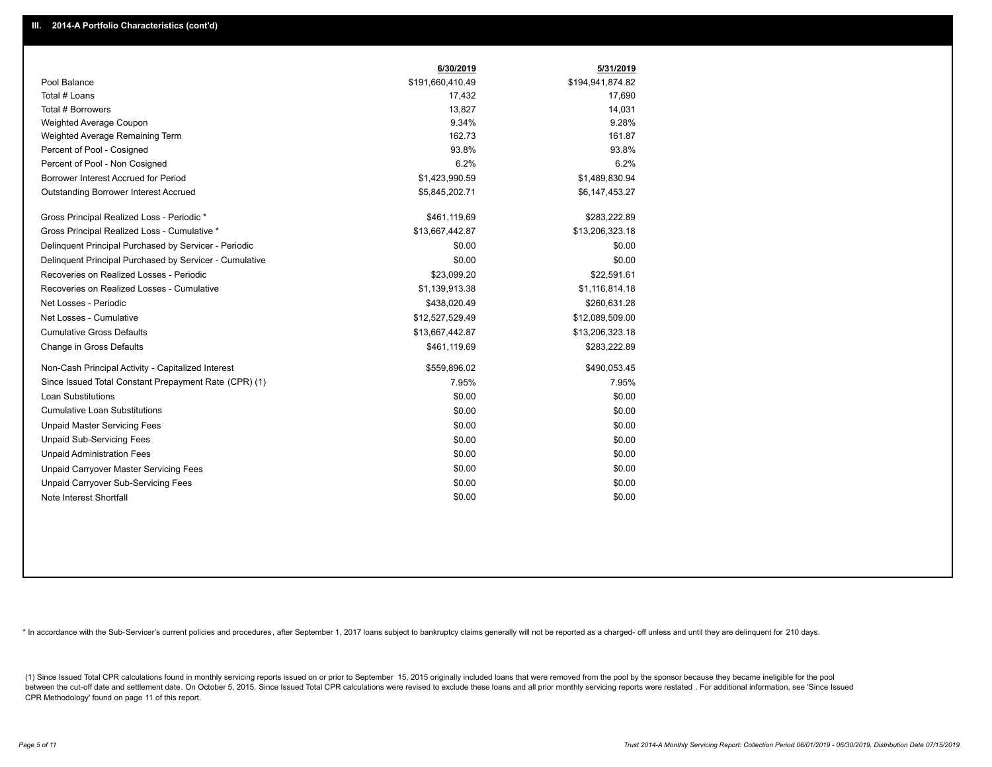|                                                         | 6/30/2019        | 5/31/2019        |
|---------------------------------------------------------|------------------|------------------|
| Pool Balance                                            | \$191,660,410.49 | \$194,941,874.82 |
| Total # Loans                                           | 17,432           | 17,690           |
| Total # Borrowers                                       | 13,827           | 14,031           |
| Weighted Average Coupon                                 | 9.34%            | 9.28%            |
| Weighted Average Remaining Term                         | 162.73           | 161.87           |
| Percent of Pool - Cosigned                              | 93.8%            | 93.8%            |
| Percent of Pool - Non Cosigned                          | 6.2%             | 6.2%             |
| Borrower Interest Accrued for Period                    | \$1,423,990.59   | \$1,489,830.94   |
| <b>Outstanding Borrower Interest Accrued</b>            | \$5,845,202.71   | \$6,147,453.27   |
| Gross Principal Realized Loss - Periodic *              | \$461,119.69     | \$283,222.89     |
| Gross Principal Realized Loss - Cumulative *            | \$13,667,442.87  | \$13,206,323.18  |
| Delinquent Principal Purchased by Servicer - Periodic   | \$0.00           | \$0.00           |
| Delinquent Principal Purchased by Servicer - Cumulative | \$0.00           | \$0.00           |
| Recoveries on Realized Losses - Periodic                | \$23,099.20      | \$22,591.61      |
| Recoveries on Realized Losses - Cumulative              | \$1,139,913.38   | \$1,116,814.18   |
| Net Losses - Periodic                                   | \$438,020.49     | \$260,631.28     |
| Net Losses - Cumulative                                 | \$12,527,529.49  | \$12,089,509.00  |
| <b>Cumulative Gross Defaults</b>                        | \$13,667,442.87  | \$13,206,323.18  |
| Change in Gross Defaults                                | \$461,119.69     | \$283,222.89     |
| Non-Cash Principal Activity - Capitalized Interest      | \$559,896.02     | \$490,053.45     |
| Since Issued Total Constant Prepayment Rate (CPR) (1)   | 7.95%            | 7.95%            |
| <b>Loan Substitutions</b>                               | \$0.00           | \$0.00           |
| <b>Cumulative Loan Substitutions</b>                    | \$0.00           | \$0.00           |
| <b>Unpaid Master Servicing Fees</b>                     | \$0.00           | \$0.00           |
| <b>Unpaid Sub-Servicing Fees</b>                        | \$0.00           | \$0.00           |
| <b>Unpaid Administration Fees</b>                       | \$0.00           | \$0.00           |
| Unpaid Carryover Master Servicing Fees                  | \$0.00           | \$0.00           |
| <b>Unpaid Carryover Sub-Servicing Fees</b>              | \$0.00           | \$0.00           |
| Note Interest Shortfall                                 | \$0.00           | \$0.00           |

\* In accordance with the Sub-Servicer's current policies and procedures, after September 1, 2017 loans subject to bankruptcy claims generally will not be reported as a charged- off unless and until they are delinquent for

(1) Since Issued Total CPR calculations found in monthly servicing reports issued on or prior to September 15, 2015 originally included loans that were removed from the pool by the sponsor because they became ineligible fo between the cut-off date and settlement date. On October 5, 2015, Since Issued Total CPR calculations were revised to exclude these loans and all prior monthly servicing reports were restated. For additional information, s CPR Methodology' found on page 11 of this report.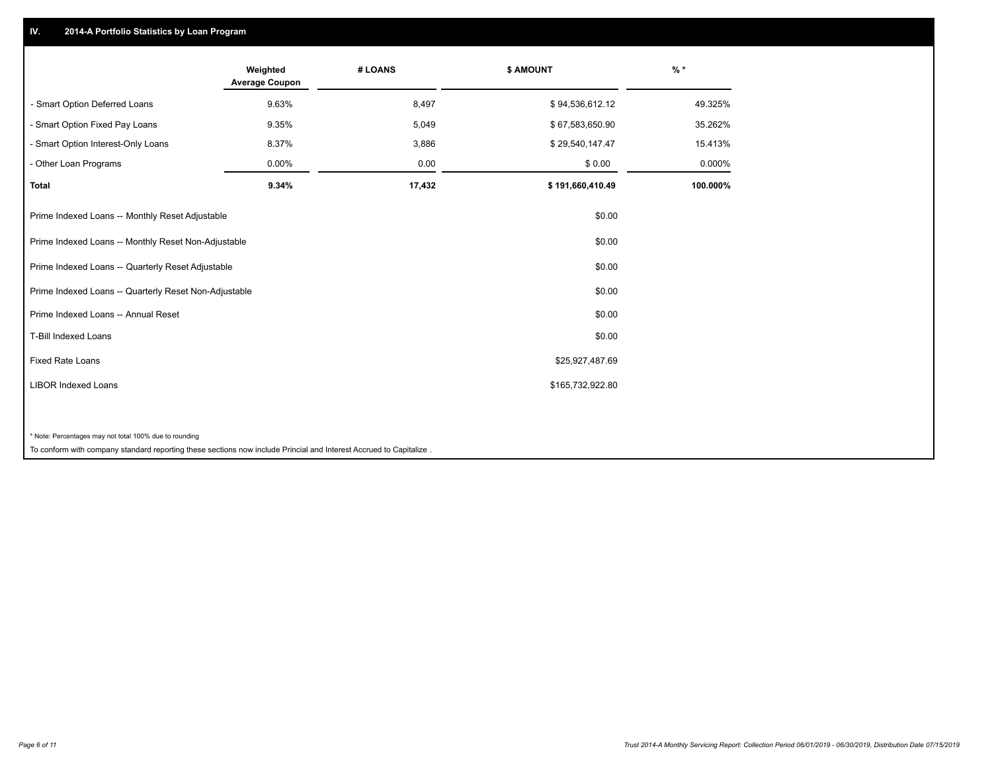### **IV. 2014-A Portfolio Statistics by Loan Program**

|                                                                                                                    | Weighted<br><b>Average Coupon</b> | # LOANS | \$ AMOUNT        | $%$ *    |
|--------------------------------------------------------------------------------------------------------------------|-----------------------------------|---------|------------------|----------|
| - Smart Option Deferred Loans                                                                                      | 9.63%                             | 8,497   | \$94,536,612.12  | 49.325%  |
| - Smart Option Fixed Pay Loans                                                                                     | 9.35%                             | 5,049   | \$67,583,650.90  | 35.262%  |
| - Smart Option Interest-Only Loans                                                                                 | 8.37%                             | 3,886   | \$29,540,147.47  | 15.413%  |
| - Other Loan Programs                                                                                              | 0.00%                             | 0.00    | \$0.00           | 0.000%   |
| <b>Total</b>                                                                                                       | 9.34%                             | 17,432  | \$191,660,410.49 | 100.000% |
| Prime Indexed Loans -- Monthly Reset Adjustable                                                                    |                                   |         | \$0.00           |          |
| Prime Indexed Loans -- Monthly Reset Non-Adjustable                                                                |                                   |         | \$0.00           |          |
| Prime Indexed Loans -- Quarterly Reset Adjustable                                                                  |                                   |         | \$0.00           |          |
| Prime Indexed Loans -- Quarterly Reset Non-Adjustable                                                              |                                   |         | \$0.00           |          |
| Prime Indexed Loans -- Annual Reset                                                                                |                                   |         | \$0.00           |          |
| <b>T-Bill Indexed Loans</b>                                                                                        |                                   |         | \$0.00           |          |
| <b>Fixed Rate Loans</b>                                                                                            |                                   |         | \$25,927,487.69  |          |
| <b>LIBOR Indexed Loans</b>                                                                                         |                                   |         | \$165,732,922.80 |          |
|                                                                                                                    |                                   |         |                  |          |
| * Note: Percentages may not total 100% due to rounding                                                             |                                   |         |                  |          |
| To conform with company standard reporting these sections now include Princial and Interest Accrued to Capitalize. |                                   |         |                  |          |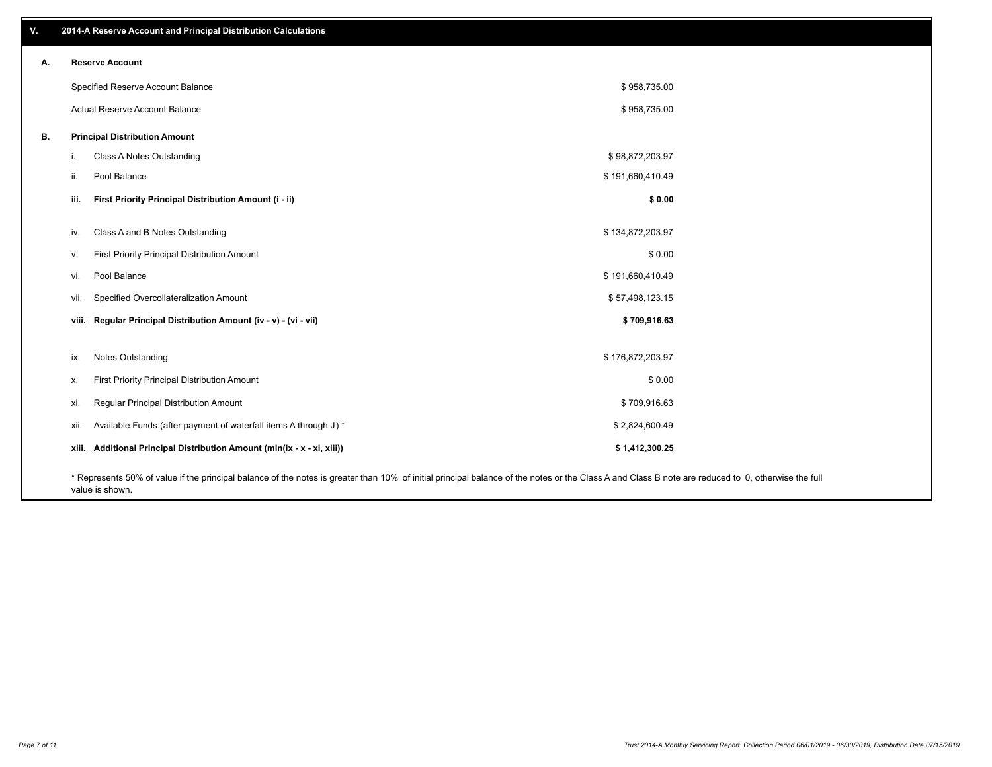| V. | 2014-A Reserve Account and Principal Distribution Calculations                                                                                                                                     |                  |  |
|----|----------------------------------------------------------------------------------------------------------------------------------------------------------------------------------------------------|------------------|--|
| А. | <b>Reserve Account</b>                                                                                                                                                                             |                  |  |
|    | Specified Reserve Account Balance                                                                                                                                                                  | \$958,735.00     |  |
|    | Actual Reserve Account Balance                                                                                                                                                                     | \$958,735.00     |  |
| В. | <b>Principal Distribution Amount</b>                                                                                                                                                               |                  |  |
|    | Class A Notes Outstanding<br>j.                                                                                                                                                                    | \$98,872,203.97  |  |
|    | Pool Balance<br>ii.                                                                                                                                                                                | \$191,660,410.49 |  |
|    | First Priority Principal Distribution Amount (i - ii)<br>iii.                                                                                                                                      | \$0.00           |  |
|    | Class A and B Notes Outstanding<br>iv.                                                                                                                                                             | \$134,872,203.97 |  |
|    | First Priority Principal Distribution Amount<br>V.                                                                                                                                                 | \$0.00           |  |
|    | Pool Balance<br>vi.                                                                                                                                                                                | \$191,660,410.49 |  |
|    | Specified Overcollateralization Amount<br>vii.                                                                                                                                                     | \$57,498,123.15  |  |
|    | viii. Regular Principal Distribution Amount (iv - v) - (vi - vii)                                                                                                                                  | \$709,916.63     |  |
|    | Notes Outstanding<br>ix.                                                                                                                                                                           | \$176,872,203.97 |  |
|    | First Priority Principal Distribution Amount<br>Х.                                                                                                                                                 | \$0.00           |  |
|    | Regular Principal Distribution Amount<br>xi.                                                                                                                                                       | \$709,916.63     |  |
|    | Available Funds (after payment of waterfall items A through J) *<br>xii.                                                                                                                           | \$2,824,600.49   |  |
|    | xiii. Additional Principal Distribution Amount (min(ix - x - xi, xiii))                                                                                                                            | \$1,412,300.25   |  |
|    | * Represents 50% of value if the principal balance of the notes is greater than 10% of initial principal balance of the notes or the Class A and Class B note are reduced to 0, otherwise the full |                  |  |

value is shown.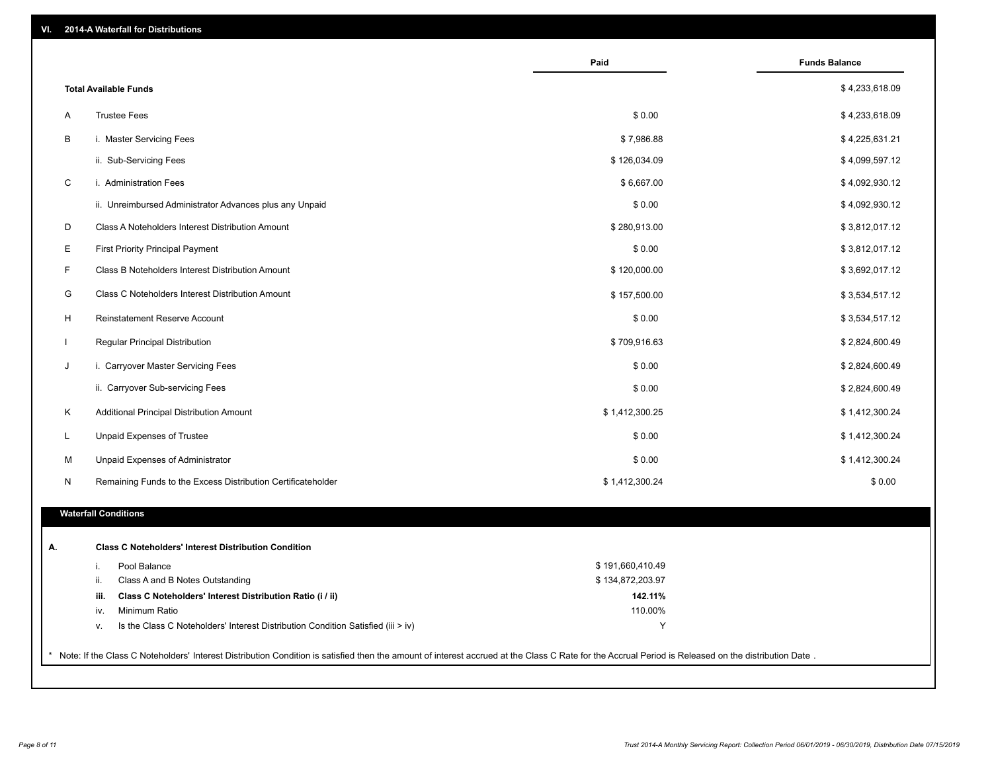| \$4,233,618.09<br><b>Total Available Funds</b><br><b>Trustee Fees</b><br>\$0.00<br>\$4,233,618.09<br>Α<br>В<br>i. Master Servicing Fees<br>\$7,986.88<br>\$4,225,631.21<br>ii. Sub-Servicing Fees<br>\$126,034.09<br>\$4,099,597.12<br>C<br>i. Administration Fees<br>\$6,667.00<br>\$4,092,930.12<br>\$0.00<br>ii. Unreimbursed Administrator Advances plus any Unpaid<br>\$4,092,930.12<br>D<br>\$280,913.00<br>\$3,812,017.12<br>Class A Noteholders Interest Distribution Amount<br>Е<br>\$0.00<br>First Priority Principal Payment<br>\$3,812,017.12<br>F<br>Class B Noteholders Interest Distribution Amount<br>\$120,000.00<br>\$3,692,017.12<br>G<br>Class C Noteholders Interest Distribution Amount<br>\$157,500.00<br>\$3,534,517.12<br>H<br><b>Reinstatement Reserve Account</b><br>\$0.00<br>\$3,534,517.12<br>Regular Principal Distribution<br>\$709,916.63<br>\$2,824,600.49<br>$\mathbf{I}$<br>J<br>i. Carryover Master Servicing Fees<br>\$0.00<br>\$2,824,600.49<br>ii. Carryover Sub-servicing Fees<br>\$0.00<br>\$2,824,600.49<br>\$1,412,300.25<br>Κ<br>Additional Principal Distribution Amount<br>\$1,412,300.24<br>Unpaid Expenses of Trustee<br>\$0.00<br>\$1,412,300.24<br>L<br>\$0.00<br>\$1,412,300.24<br>M<br>Unpaid Expenses of Administrator<br>Remaining Funds to the Excess Distribution Certificateholder<br>\$1,412,300.24<br>\$0.00<br>N<br><b>Waterfall Conditions</b><br><b>Class C Noteholders' Interest Distribution Condition</b><br>А.<br>\$191,660,410.49<br>Pool Balance<br>i.<br>Class A and B Notes Outstanding<br>\$134,872,203.97<br>ii.<br>142.11%<br>Class C Noteholders' Interest Distribution Ratio (i / ii)<br>iii.<br>Minimum Ratio<br>110.00%<br>iv.<br>Y<br>Is the Class C Noteholders' Interest Distribution Condition Satisfied (iii > iv)<br>v. |                                                                                                                                                                                                     | Paid | <b>Funds Balance</b> |
|-------------------------------------------------------------------------------------------------------------------------------------------------------------------------------------------------------------------------------------------------------------------------------------------------------------------------------------------------------------------------------------------------------------------------------------------------------------------------------------------------------------------------------------------------------------------------------------------------------------------------------------------------------------------------------------------------------------------------------------------------------------------------------------------------------------------------------------------------------------------------------------------------------------------------------------------------------------------------------------------------------------------------------------------------------------------------------------------------------------------------------------------------------------------------------------------------------------------------------------------------------------------------------------------------------------------------------------------------------------------------------------------------------------------------------------------------------------------------------------------------------------------------------------------------------------------------------------------------------------------------------------------------------------------------------------------------------------------------------------------------------------------------------------------------------------|-----------------------------------------------------------------------------------------------------------------------------------------------------------------------------------------------------|------|----------------------|
|                                                                                                                                                                                                                                                                                                                                                                                                                                                                                                                                                                                                                                                                                                                                                                                                                                                                                                                                                                                                                                                                                                                                                                                                                                                                                                                                                                                                                                                                                                                                                                                                                                                                                                                                                                                                             |                                                                                                                                                                                                     |      |                      |
|                                                                                                                                                                                                                                                                                                                                                                                                                                                                                                                                                                                                                                                                                                                                                                                                                                                                                                                                                                                                                                                                                                                                                                                                                                                                                                                                                                                                                                                                                                                                                                                                                                                                                                                                                                                                             |                                                                                                                                                                                                     |      |                      |
|                                                                                                                                                                                                                                                                                                                                                                                                                                                                                                                                                                                                                                                                                                                                                                                                                                                                                                                                                                                                                                                                                                                                                                                                                                                                                                                                                                                                                                                                                                                                                                                                                                                                                                                                                                                                             |                                                                                                                                                                                                     |      |                      |
|                                                                                                                                                                                                                                                                                                                                                                                                                                                                                                                                                                                                                                                                                                                                                                                                                                                                                                                                                                                                                                                                                                                                                                                                                                                                                                                                                                                                                                                                                                                                                                                                                                                                                                                                                                                                             |                                                                                                                                                                                                     |      |                      |
|                                                                                                                                                                                                                                                                                                                                                                                                                                                                                                                                                                                                                                                                                                                                                                                                                                                                                                                                                                                                                                                                                                                                                                                                                                                                                                                                                                                                                                                                                                                                                                                                                                                                                                                                                                                                             |                                                                                                                                                                                                     |      |                      |
|                                                                                                                                                                                                                                                                                                                                                                                                                                                                                                                                                                                                                                                                                                                                                                                                                                                                                                                                                                                                                                                                                                                                                                                                                                                                                                                                                                                                                                                                                                                                                                                                                                                                                                                                                                                                             |                                                                                                                                                                                                     |      |                      |
|                                                                                                                                                                                                                                                                                                                                                                                                                                                                                                                                                                                                                                                                                                                                                                                                                                                                                                                                                                                                                                                                                                                                                                                                                                                                                                                                                                                                                                                                                                                                                                                                                                                                                                                                                                                                             |                                                                                                                                                                                                     |      |                      |
|                                                                                                                                                                                                                                                                                                                                                                                                                                                                                                                                                                                                                                                                                                                                                                                                                                                                                                                                                                                                                                                                                                                                                                                                                                                                                                                                                                                                                                                                                                                                                                                                                                                                                                                                                                                                             |                                                                                                                                                                                                     |      |                      |
|                                                                                                                                                                                                                                                                                                                                                                                                                                                                                                                                                                                                                                                                                                                                                                                                                                                                                                                                                                                                                                                                                                                                                                                                                                                                                                                                                                                                                                                                                                                                                                                                                                                                                                                                                                                                             |                                                                                                                                                                                                     |      |                      |
|                                                                                                                                                                                                                                                                                                                                                                                                                                                                                                                                                                                                                                                                                                                                                                                                                                                                                                                                                                                                                                                                                                                                                                                                                                                                                                                                                                                                                                                                                                                                                                                                                                                                                                                                                                                                             |                                                                                                                                                                                                     |      |                      |
|                                                                                                                                                                                                                                                                                                                                                                                                                                                                                                                                                                                                                                                                                                                                                                                                                                                                                                                                                                                                                                                                                                                                                                                                                                                                                                                                                                                                                                                                                                                                                                                                                                                                                                                                                                                                             |                                                                                                                                                                                                     |      |                      |
|                                                                                                                                                                                                                                                                                                                                                                                                                                                                                                                                                                                                                                                                                                                                                                                                                                                                                                                                                                                                                                                                                                                                                                                                                                                                                                                                                                                                                                                                                                                                                                                                                                                                                                                                                                                                             |                                                                                                                                                                                                     |      |                      |
|                                                                                                                                                                                                                                                                                                                                                                                                                                                                                                                                                                                                                                                                                                                                                                                                                                                                                                                                                                                                                                                                                                                                                                                                                                                                                                                                                                                                                                                                                                                                                                                                                                                                                                                                                                                                             |                                                                                                                                                                                                     |      |                      |
|                                                                                                                                                                                                                                                                                                                                                                                                                                                                                                                                                                                                                                                                                                                                                                                                                                                                                                                                                                                                                                                                                                                                                                                                                                                                                                                                                                                                                                                                                                                                                                                                                                                                                                                                                                                                             |                                                                                                                                                                                                     |      |                      |
|                                                                                                                                                                                                                                                                                                                                                                                                                                                                                                                                                                                                                                                                                                                                                                                                                                                                                                                                                                                                                                                                                                                                                                                                                                                                                                                                                                                                                                                                                                                                                                                                                                                                                                                                                                                                             |                                                                                                                                                                                                     |      |                      |
|                                                                                                                                                                                                                                                                                                                                                                                                                                                                                                                                                                                                                                                                                                                                                                                                                                                                                                                                                                                                                                                                                                                                                                                                                                                                                                                                                                                                                                                                                                                                                                                                                                                                                                                                                                                                             |                                                                                                                                                                                                     |      |                      |
|                                                                                                                                                                                                                                                                                                                                                                                                                                                                                                                                                                                                                                                                                                                                                                                                                                                                                                                                                                                                                                                                                                                                                                                                                                                                                                                                                                                                                                                                                                                                                                                                                                                                                                                                                                                                             |                                                                                                                                                                                                     |      |                      |
|                                                                                                                                                                                                                                                                                                                                                                                                                                                                                                                                                                                                                                                                                                                                                                                                                                                                                                                                                                                                                                                                                                                                                                                                                                                                                                                                                                                                                                                                                                                                                                                                                                                                                                                                                                                                             |                                                                                                                                                                                                     |      |                      |
|                                                                                                                                                                                                                                                                                                                                                                                                                                                                                                                                                                                                                                                                                                                                                                                                                                                                                                                                                                                                                                                                                                                                                                                                                                                                                                                                                                                                                                                                                                                                                                                                                                                                                                                                                                                                             |                                                                                                                                                                                                     |      |                      |
|                                                                                                                                                                                                                                                                                                                                                                                                                                                                                                                                                                                                                                                                                                                                                                                                                                                                                                                                                                                                                                                                                                                                                                                                                                                                                                                                                                                                                                                                                                                                                                                                                                                                                                                                                                                                             |                                                                                                                                                                                                     |      |                      |
|                                                                                                                                                                                                                                                                                                                                                                                                                                                                                                                                                                                                                                                                                                                                                                                                                                                                                                                                                                                                                                                                                                                                                                                                                                                                                                                                                                                                                                                                                                                                                                                                                                                                                                                                                                                                             |                                                                                                                                                                                                     |      |                      |
|                                                                                                                                                                                                                                                                                                                                                                                                                                                                                                                                                                                                                                                                                                                                                                                                                                                                                                                                                                                                                                                                                                                                                                                                                                                                                                                                                                                                                                                                                                                                                                                                                                                                                                                                                                                                             |                                                                                                                                                                                                     |      |                      |
|                                                                                                                                                                                                                                                                                                                                                                                                                                                                                                                                                                                                                                                                                                                                                                                                                                                                                                                                                                                                                                                                                                                                                                                                                                                                                                                                                                                                                                                                                                                                                                                                                                                                                                                                                                                                             |                                                                                                                                                                                                     |      |                      |
|                                                                                                                                                                                                                                                                                                                                                                                                                                                                                                                                                                                                                                                                                                                                                                                                                                                                                                                                                                                                                                                                                                                                                                                                                                                                                                                                                                                                                                                                                                                                                                                                                                                                                                                                                                                                             |                                                                                                                                                                                                     |      |                      |
|                                                                                                                                                                                                                                                                                                                                                                                                                                                                                                                                                                                                                                                                                                                                                                                                                                                                                                                                                                                                                                                                                                                                                                                                                                                                                                                                                                                                                                                                                                                                                                                                                                                                                                                                                                                                             |                                                                                                                                                                                                     |      |                      |
|                                                                                                                                                                                                                                                                                                                                                                                                                                                                                                                                                                                                                                                                                                                                                                                                                                                                                                                                                                                                                                                                                                                                                                                                                                                                                                                                                                                                                                                                                                                                                                                                                                                                                                                                                                                                             |                                                                                                                                                                                                     |      |                      |
|                                                                                                                                                                                                                                                                                                                                                                                                                                                                                                                                                                                                                                                                                                                                                                                                                                                                                                                                                                                                                                                                                                                                                                                                                                                                                                                                                                                                                                                                                                                                                                                                                                                                                                                                                                                                             | Note: If the Class C Noteholders' Interest Distribution Condition is satisfied then the amount of interest accrued at the Class C Rate for the Accrual Period is Released on the distribution Date. |      |                      |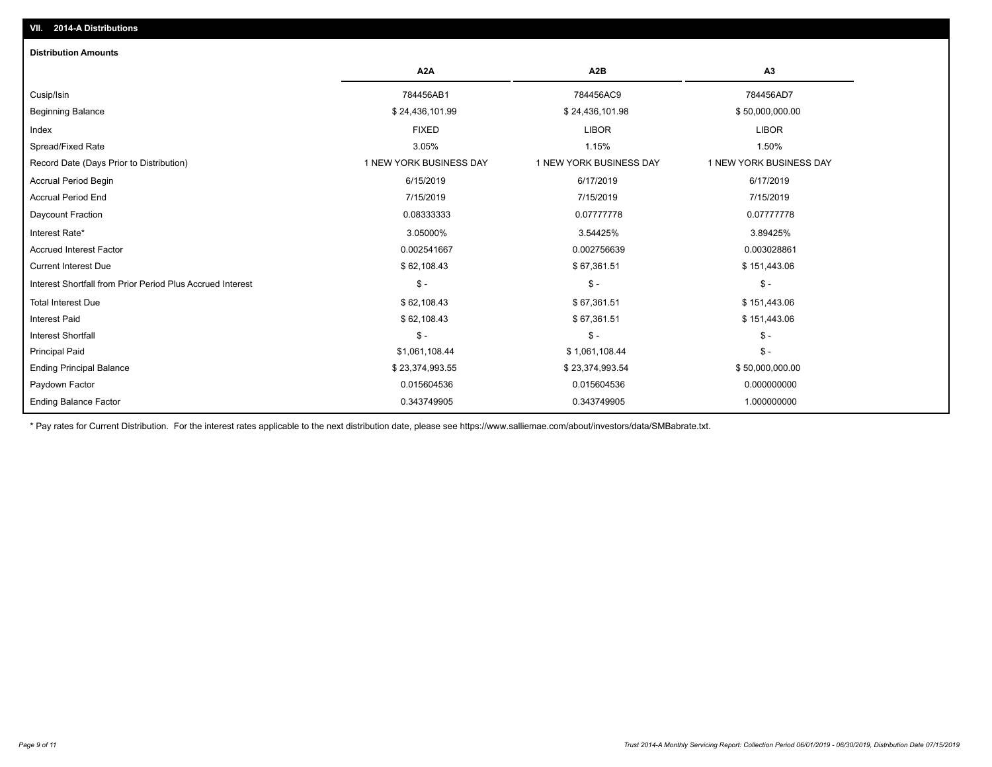## **VII. 2014-A Distributions**

| <b>Distribution Amounts</b>                                |                         |                         |                         |
|------------------------------------------------------------|-------------------------|-------------------------|-------------------------|
|                                                            | A <sub>2</sub> A        | A <sub>2</sub> B        | A3                      |
| Cusip/Isin                                                 | 784456AB1               | 784456AC9               | 784456AD7               |
| <b>Beginning Balance</b>                                   | \$24,436,101.99         | \$24,436,101.98         | \$50,000,000.00         |
| Index                                                      | <b>FIXED</b>            | <b>LIBOR</b>            | <b>LIBOR</b>            |
| Spread/Fixed Rate                                          | 3.05%                   | 1.15%                   | 1.50%                   |
| Record Date (Days Prior to Distribution)                   | 1 NEW YORK BUSINESS DAY | 1 NEW YORK BUSINESS DAY | 1 NEW YORK BUSINESS DAY |
| <b>Accrual Period Begin</b>                                | 6/15/2019               | 6/17/2019               | 6/17/2019               |
| Accrual Period End                                         | 7/15/2019               | 7/15/2019               | 7/15/2019               |
| Daycount Fraction                                          | 0.08333333              | 0.07777778              | 0.07777778              |
| Interest Rate*                                             | 3.05000%                | 3.54425%                | 3.89425%                |
| <b>Accrued Interest Factor</b>                             | 0.002541667             | 0.002756639             | 0.003028861             |
| <b>Current Interest Due</b>                                | \$62,108.43             | \$67,361.51             | \$151,443.06            |
| Interest Shortfall from Prior Period Plus Accrued Interest | $\mathsf{\$}$ -         | $\frac{1}{2}$           | $\frac{1}{2}$           |
| <b>Total Interest Due</b>                                  | \$62,108.43             | \$67,361.51             | \$151,443.06            |
| <b>Interest Paid</b>                                       | \$62,108.43             | \$67,361.51             | \$151,443.06            |
| <b>Interest Shortfall</b>                                  | $S -$                   | $\mathsf{\$}$ -         | $\mathsf{\$}$ -         |
| <b>Principal Paid</b>                                      | \$1,061,108.44          | \$1,061,108.44          | $\mathsf{\$}$ -         |
| <b>Ending Principal Balance</b>                            | \$23,374,993.55         | \$23,374,993.54         | \$50,000,000.00         |
| Paydown Factor                                             | 0.015604536             | 0.015604536             | 0.000000000             |
| <b>Ending Balance Factor</b>                               | 0.343749905             | 0.343749905             | 1.000000000             |

\* Pay rates for Current Distribution. For the interest rates applicable to the next distribution date, please see https://www.salliemae.com/about/investors/data/SMBabrate.txt.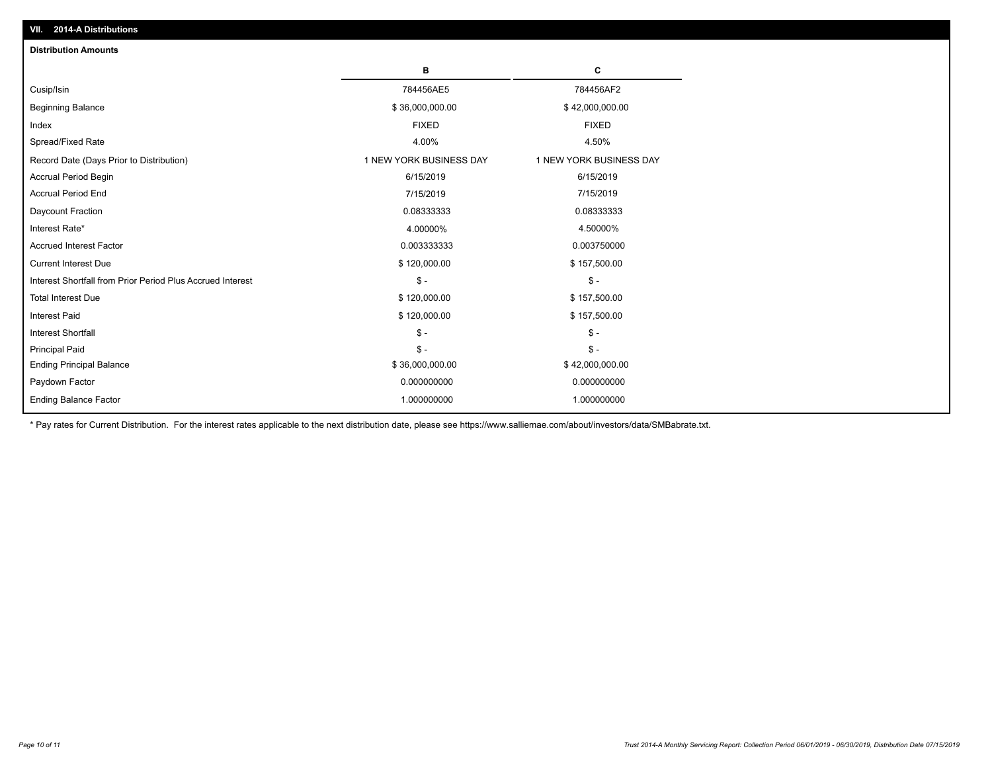| <b>Distribution Amounts</b>                                |                         |                         |
|------------------------------------------------------------|-------------------------|-------------------------|
|                                                            | в                       | С                       |
| Cusip/Isin                                                 | 784456AE5               | 784456AF2               |
| <b>Beginning Balance</b>                                   | \$36,000,000.00         | \$42,000,000.00         |
| Index                                                      | <b>FIXED</b>            | <b>FIXED</b>            |
| Spread/Fixed Rate                                          | 4.00%                   | 4.50%                   |
| Record Date (Days Prior to Distribution)                   | 1 NEW YORK BUSINESS DAY | 1 NEW YORK BUSINESS DAY |
| <b>Accrual Period Begin</b>                                | 6/15/2019               | 6/15/2019               |
| <b>Accrual Period End</b>                                  | 7/15/2019               | 7/15/2019               |
| Daycount Fraction                                          | 0.08333333              | 0.08333333              |
| Interest Rate*                                             | 4.00000%                | 4.50000%                |
| <b>Accrued Interest Factor</b>                             | 0.003333333             | 0.003750000             |
| <b>Current Interest Due</b>                                | \$120,000.00            | \$157,500.00            |
| Interest Shortfall from Prior Period Plus Accrued Interest | $\mathcal{S}$ -         | $\mathsf{\$}$ -         |
| <b>Total Interest Due</b>                                  | \$120,000.00            | \$157,500.00            |
| <b>Interest Paid</b>                                       | \$120,000.00            | \$157,500.00            |
| <b>Interest Shortfall</b>                                  | $\mathcal{S}$ -         | $\frac{1}{2}$           |
| <b>Principal Paid</b>                                      | $\mathsf{\$}$ -         | $\mathsf{\$}$ -         |
| <b>Ending Principal Balance</b>                            | \$36,000,000.00         | \$42,000,000.00         |
| Paydown Factor                                             | 0.000000000             | 0.000000000             |
| <b>Ending Balance Factor</b>                               | 1.000000000             | 1.000000000             |

\* Pay rates for Current Distribution. For the interest rates applicable to the next distribution date, please see https://www.salliemae.com/about/investors/data/SMBabrate.txt.

**VII. 2014-A Distributions**